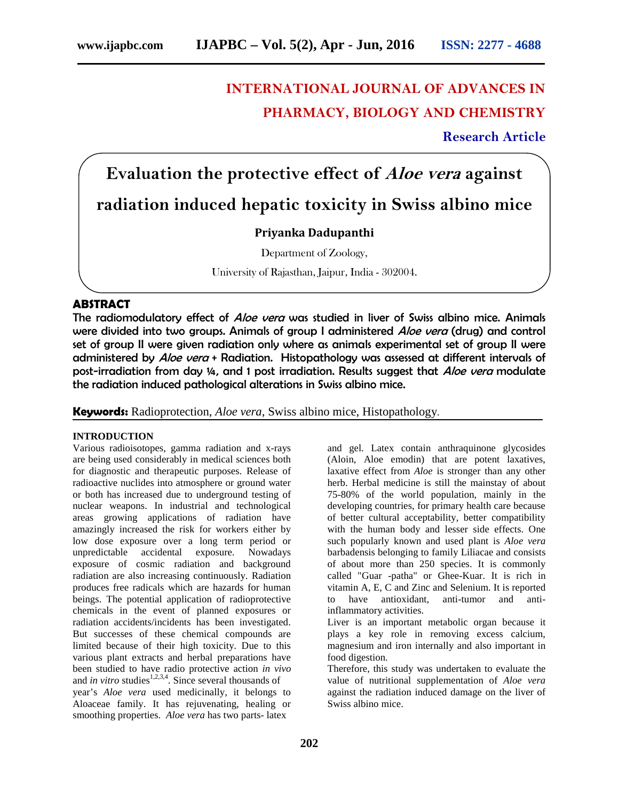# **INTERNATIONAL JOURNAL OF ADVANCES IN PHARMACY, BIOLOGY AND CHEMISTRY**

**Research Article**

# **Evaluation the protective effect of** *Aloe vera* **against radiation induced hepatic toxicity in Swiss albino mice**

# **Priyanka Dadupanthi**

Department of Zoology,

University of Rajasthan, Jaipur, India - 302004.

## **ABSTRACT**

The radiomodulatory effect of *Aloe vera* was studied in liver of Swiss albino mice. Animals were divided into two groups. Animals of group I administered *Aloe vera* (drug) and control set of group II were given radiation only where as animals experimental set of group II were administered by *Aloe vera* + Radiation. Histopathology was assessed at different intervals of post-irradiation from day ¼, and 1 post irradiation. Results suggest that *Aloe vera* modulate the radiation induced pathological alterations in Swiss albino mice.

**Keywords:** Radioprotection, *Aloe vera*, Swiss albino mice, Histopathology.

#### **INTRODUCTION**

Various radioisotopes, gamma radiation and x-rays are being used considerably in medical sciences both for diagnostic and therapeutic purposes. Release of radioactive nuclides into atmosphere or ground water or both has increased due to underground testing of nuclear weapons. In industrial and technological areas growing applications of radiation have amazingly increased the risk for workers either by low dose exposure over a long term period or unpredictable accidental exposure. Nowadays exposure of cosmic radiation and background radiation are also increasing continuously. Radiation produces free radicals which are hazards for human beings. The potential application of radioprotective chemicals in the event of planned exposures or radiation accidents/incidents has been investigated. But successes of these chemical compounds are limited because of their high toxicity. Due to this various plant extracts and herbal preparations have been studied to have radio protective action *in vivo* and *in vitro* studies<sup>1,2,3,4</sup>. Since several thousands of year's *Aloe vera* used medicinally, it belongs to Aloaceae family. It has rejuvenating, healing or smoothing properties. *Aloe vera* has two parts- latex

and gel. Latex contain anthraquinone glycosides (Aloin, Aloe emodin) that are potent laxatives, laxative effect from *Aloe* is stronger than any other herb. Herbal medicine is still the mainstay of about 75-80% of the world population, mainly in the developing countries, for primary health care because of better cultural acceptability, better compatibility with the human body and lesser side effects. One such popularly known and used plant is *Aloe vera* barbadensis belonging to family Liliacae and consists of about more than 250 species. It is commonly called "Guar -patha" or Ghee-Kuar. It is rich in vitamin A, E, C and Zinc and Selenium. It is reported to have antioxidant, anti-tumor and antiinflammatory activities. Liver is an important metabolic organ because it

plays a key role in removing excess calcium, magnesium and iron internally and also important in food digestion.

Therefore, this study was undertaken to evaluate the value of nutritional supplementation of *Aloe vera* against the radiation induced damage on the liver of Swiss albino mice.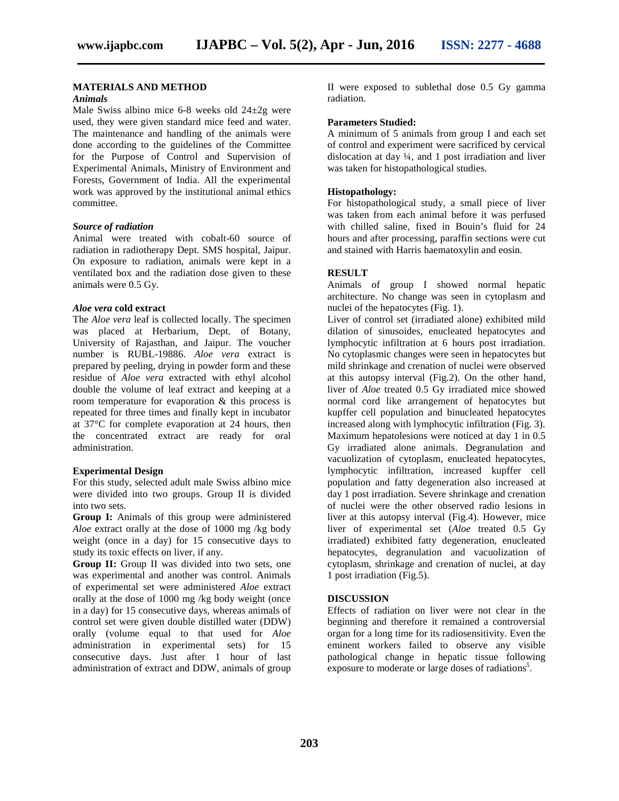#### **MATERIALS AND METHOD**

### *Animals*

Male Swiss albino mice 6-8 weeks old 24±2g were used, they were given standard mice feed and water. The maintenance and handling of the animals were done according to the guidelines of the Committee for the Purpose of Control and Supervision of Experimental Animals, Ministry of Environment and Forests, Government of India. All the experimental work was approved by the institutional animal ethics committee.

#### *Source of radiation*

Animal were treated with cobalt-60 source of radiation in radiotherapy Dept. SMS hospital, Jaipur. On exposure to radiation, animals were kept in a ventilated box and the radiation dose given to these animals were 0.5 Gy.

#### *Aloe vera* **cold extract**

The *Aloe vera* leaf is collected locally. The specimen was placed at Herbarium, Dept. of Botany, University of Rajasthan, and Jaipur. The voucher number is RUBL-19886. *Aloe vera* extract is prepared by peeling, drying in powder form and these residue of *Aloe vera* extracted with ethyl alcohol double the volume of leaf extract and keeping at a room temperature for evaporation & this process is repeated for three times and finally kept in incubator at 37°C for complete evaporation at 24 hours, then the concentrated extract are ready for oral administration.

#### **Experimental Design**

For this study, selected adult male Swiss albino mice were divided into two groups. Group II is divided into two sets.

**Group I:** Animals of this group were administered *Aloe* extract orally at the dose of 1000 mg /kg body weight (once in a day) for 15 consecutive days to study its toxic effects on liver, if any.

**Group II:** Group II was divided into two sets, one was experimental and another was control. Animals of experimental set were administered *Aloe* extract orally at the dose of 1000 mg /kg body weight (once in a day) for 15 consecutive days, whereas animals of control set were given double distilled water (DDW) orally (volume equal to that used for *Aloe* administration in experimental sets) for 15 consecutive days. Just after 1 hour of last administration of extract and DDW, animals of group

II were exposed to sublethal dose 0.5 Gy gamma radiation.

#### **Parameters Studied:**

A minimum of 5 animals from group I and each set of control and experiment were sacrificed by cervical dislocation at day ¼, and 1 post irradiation and liver was taken for histopathological studies.

#### **Histopathology:**

For histopathological study, a small piece of liver was taken from each animal before it was perfused with chilled saline, fixed in Bouin's fluid for 24 hours and after processing, paraffin sections were cut and stained with Harris haematoxylin and eosin.

#### **RESULT**

Animals of group I showed normal hepatic architecture. No change was seen in cytoplasm and nuclei of the hepatocytes (Fig. 1).

Liver of control set (irradiated alone) exhibited mild dilation of sinusoides, enucleated hepatocytes and lymphocytic infiltration at 6 hours post irradiation. No cytoplasmic changes were seen in hepatocytes but mild shrinkage and crenation of nuclei were observed at this autopsy interval (Fig.2). On the other hand, liver of *Aloe* treated 0.5 Gy irradiated mice showed normal cord like arrangement of hepatocytes but kupffer cell population and binucleated hepatocytes increased along with lymphocytic infiltration (Fig. 3). Maximum hepatolesions were noticed at day 1 in 0.5 Gy irradiated alone animals. Degranulation and vacuolization of cytoplasm, enucleated hepatocytes, lymphocytic infiltration, increased kupffer cell population and fatty degeneration also increased at day 1 post irradiation. Severe shrinkage and crenation of nuclei were the other observed radio lesions in liver at this autopsy interval (Fig.4). However, mice liver of experimental set (*Aloe* treated 0.5 Gy irradiated) exhibited fatty degeneration, enucleated hepatocytes, degranulation and vacuolization of cytoplasm, shrinkage and crenation of nuclei, at day 1 post irradiation (Fig.5).

#### **DISCUSSION**

Effects of radiation on liver were not clear in the beginning and therefore it remained a controversial organ for a long time for its radiosensitivity. Even the eminent workers failed to observe any visible pathological change in hepatic tissue following exposure to moderate or large doses of radiations<sup>5</sup>.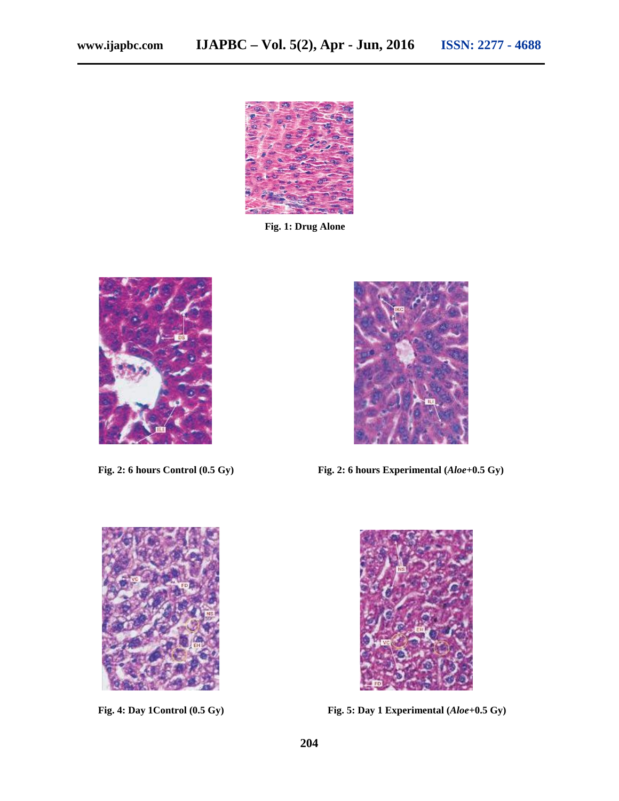

**Fig. 1: Drug Alone**





**Fig. 2: 6 hours Control (0.5 Gy) Fig. 2: 6 hours Experimental (***Aloe***+0.5 Gy)**





**Fig. 4: Day 1Control (0.5 Gy) Fig. 5: Day 1 Experimental (***Aloe***+0.5 Gy)**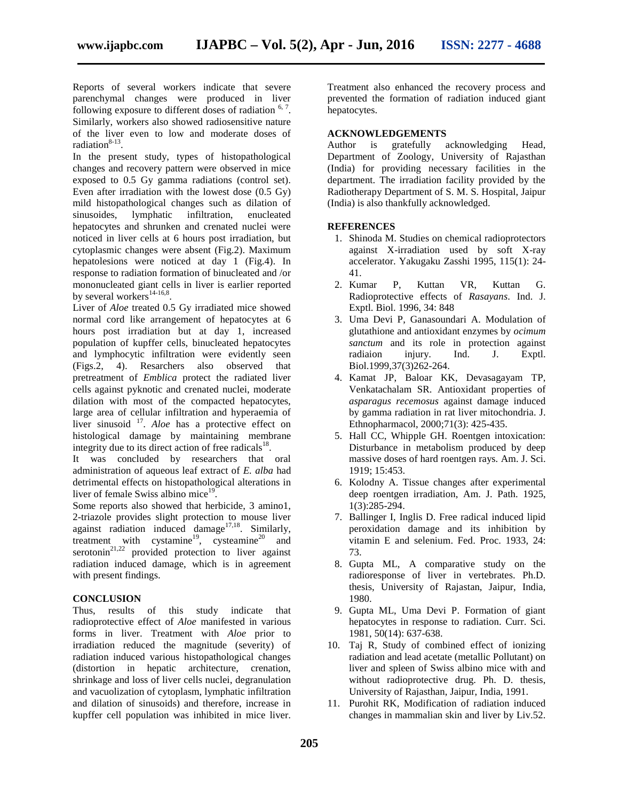Reports of several workers indicate that severe parenchymal changes were produced in liver following exposure to different doses of radiation <sup>6, 7</sup>. Similarly, workers also showed radiosensitive nature of the liver even to low and moderate doses of radiation<sup>8-13</sup>.

In the present study, types of histopathological changes and recovery pattern were observed in mice exposed to 0.5 Gy gamma radiations (control set). Even after irradiation with the lowest dose (0.5 Gy) mild histopathological changes such as dilation of sinusoides, lymphatic infiltration, enucleated lymphatic infiltration, enucleated hepatocytes and shrunken and crenated nuclei were noticed in liver cells at 6 hours post irradiation, but cytoplasmic changes were absent (Fig.2). Maximum hepatolesions were noticed at day 1 (Fig.4). In response to radiation formation of binucleated and /or mononucleated giant cells in liver is earlier reported by several workers $^{14-16,8}$ . .

Liver of *Aloe* treated 0.5 Gy irradiated mice showed normal cord like arrangement of hepatocytes at 6 hours post irradiation but at day 1, increased population of kupffer cells, binucleated hepatocytes and lymphocytic infiltration were evidently seen (Figs.2, 4). Resarchers also observed that pretreatment of *Emblica* protect the radiated liver cells against pyknotic and crenated nuclei, moderate dilation with most of the compacted hepatocytes, large area of cellular infiltration and hyperaemia of liver sinusoid <sup>17</sup>. *Aloe* has a protective effect on histological damage by maintaining membrane integrity due to its direct action of free radicals $^{18}$ .

It was concluded by researchers that oral administration of aqueous leaf extract of *E. alba* had detrimental effects on histopathological alterations in liver of female Swiss albino mice $19$ .

Some reports also showed that herbicide, 3 amino1, 2-triazole provides slight protection to mouse liver against radiation induced damage<sup>17,18</sup>. Similarly, treatment with cystamine<sup>19</sup>, cysteamine<sup>20</sup> and serotonin<sup>21,22</sup> provided protection to liver against radiation induced damage, which is in agreement with present findings.

#### **CONCLUSION**

Thus, results of this study indicate that radioprotective effect of *Aloe* manifested in various forms in liver. Treatment with *Aloe* prior to irradiation reduced the magnitude (severity) of radiation induced various histopathological changes (distortion in hepatic architecture, crenation, shrinkage and loss of liver cells nuclei, degranulation and vacuolization of cytoplasm, lymphatic infiltration and dilation of sinusoids) and therefore, increase in kupffer cell population was inhibited in mice liver. Treatment also enhanced the recovery process and prevented the formation of radiation induced giant hepatocytes.

#### **ACKNOWLEDGEMENTS**

Author is gratefully acknowledging Head, Department of Zoology, University of Rajasthan (India) for providing necessary facilities in the department. The irradiation facility provided by the Radiotherapy Department of S. M. S. Hospital, Jaipur (India) is also thankfully acknowledged.

#### **REFERENCES**

- 1. Shinoda M. Studies on chemical radioprotectors against X-irradiation used by soft X-ray accelerator. Yakugaku Zasshi 1995, 115(1): 24- 41.
- 2. Kumar P, Kuttan VR, Kuttan G. Radioprotective effects of *Rasayans*. Ind. J. Exptl. Biol. 1996, 34: 848
- 3. Uma Devi P, Ganasoundari A. Modulation of glutathione and antioxidant enzymes by *ocimum sanctum* and its role in protection against radiaion injury. Ind. J. Exptl. Biol.1999,37(3)262-264.
- 4. Kamat JP, Baloar KK, Devasagayam TP, Venkatachalam SR. Antioxidant properties of *asparagus recemosus* against damage induced by gamma radiation in rat liver mitochondria. J. Ethnopharmacol, 2000;71(3): 425-435.
- 5. Hall CC, Whipple GH. Roentgen intoxication: Disturbance in metabolism produced by deep massive doses of hard roentgen rays. Am. J. Sci. 1919; 15:453.
- 6. Kolodny A. Tissue changes after experimental deep roentgen irradiation, Am. J. Path. 1925, 1(3):285-294.
- 7. Ballinger I, Inglis D. Free radical induced lipid peroxidation damage and its inhibition by vitamin E and selenium. Fed. Proc. 1933, 24: 73.
- 8. Gupta ML, A comparative study on the radioresponse of liver in vertebrates. Ph.D. thesis, University of Rajastan, Jaipur, India, 1980.
- 9. Gupta ML, Uma Devi P. Formation of giant hepatocytes in response to radiation. Curr. Sci. 1981, 50(14): 637-638.
- 10. Taj R, Study of combined effect of ionizing radiation and lead acetate (metallic Pollutant) on liver and spleen of Swiss albino mice with and without radioprotective drug. Ph. D. thesis, University of Rajasthan, Jaipur, India, 1991.
- 11. Purohit RK, Modification of radiation induced changes in mammalian skin and liver by Liv.52.